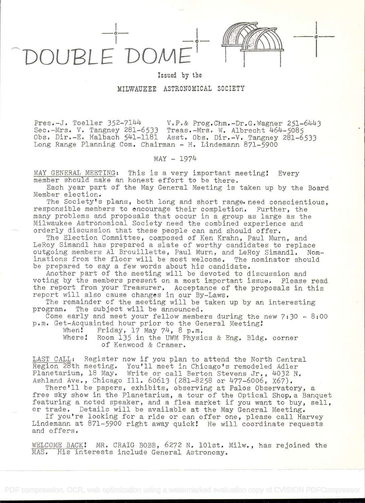DOUPLE'DOME'



i kacamatan ing Kabupatèn Kabupatèn

## Issued by the

## MILWAUKEE ASTRONOMICAL SOCIETY

 $Press.-J. Toeller 352-7144$   $V.P.\&$  Prog.Chm.-Dr.G.Wagner 251-6443 Sec.-Mrs. V. Tangney 281-6533 Treas.-Mrs. W. Albrecht 464-5085 Obs. Dir.-E. Halbach 541-1181 Asst. Obs. Dir.-V. Tangney 281-6533 Long Range Planning Com. Chairman - H. Lindemann 871-5900

 $MAX - 1974$ 

MAY GENERAL MEETING: This is a very important meeting! Every member should make an honest effort to be there.

Each year part of the May General Meeting is taken up by the Board Member election.<br>The Society's plans, both long and short range, need conscientious,

responsible members to encourage their completion. Further, the many problems and proposals that occur in a group as large as the Milwaukee Astronomical Society need the combined experience and orderly discussion that these people can and should offer.

The Election Committee, composed of Ken Krahn, Paul Mum, and LeRoy Simandl has prepared a slate of worthy candidates to replace outgoing members Al Brouillette, Faul Murn, and LeRoy Simandl. Nom-<br>inations from the floor will be most welcome. The nominator should inations from the floor will be most welcome. The nominator should<br>be prepared to say a few words about his candidate.<br>Another part of the meeting will be devoted to discussion and

voting by the members present on a most important issue. Please read<br>the report from your Treasurer. Acceptance of the proposals in this<br>report will also cause changes in our By-Laws.<br>The remainder of the meeting will be t

Come early and meet your fellow members during the new  $7:30 - 8:00$ 

p.m. Get-Acquainted hour prior to the General Meeting:<br>When: Friday, 17 May 74, 8 p.m.<br>Where: Room 135 in the UWM Physics & Eng. Bldg. corner<br>of Kenwood & Cramer.

LAST CALL: Register now if you plan to attend the North Central Region 28th meeting. You'll meet in Chicago's remodeled Adler Planetarium, 18 May. Write or call Berton Stevens Jr., 4032 N.<br>Ashland Ave., Chicago Ill. 60613

There'll be papers, exhibits, observing at Palos Observatory, a<br>free sky show in the Planetarium, a tour of the Optical Shop, a Banquet<br>featuring a noted speaker, and a flea market if you want to buy, sell,<br>or trade. Detai

If you're looking for a ride or can offer one, please call Harvey<br>Lindemann at 871-5900 right away quick! He will coordinate requests<br>and offers.

WELCOME BACK! MR. CRAIG BOBB, 6272 N. 101st. Milw., has rejoined the MAS. His interests include General Astronomy.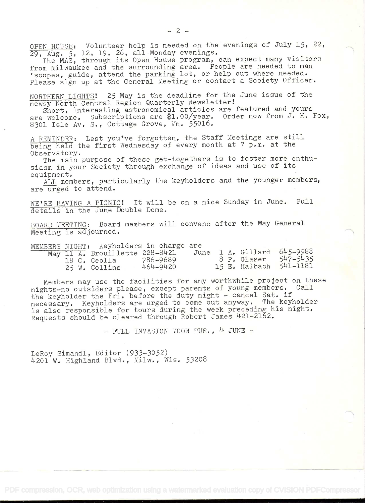OPEN HOUSE: Volunteer help is needed on the evenings of July 15, 22, 29, Aug. 5, 12, 19, 26, all Monday evenings.

The MAS, through its Open House program, can expect many visitors from Milwaukee and the surrounding area. People are needed to man 'scopes, guide, attend the parking lot, or help out where needed. Please sign up at the General Meeting or contact a Society Officer.

NORTHERN LIGHTS! 25 May is the deadline for the June issue of the newsy North Central Region Quarterly Newsletter!

Short, interesting astronomical articles are featured and yours are welcome. Subscriptions are \$1.00/year. Order now from J. H. Fox, 8301 Isle Av. S., Cottage Grove, Mn. 55016.

A REMINDER: Lest you've forgotten, the Staff Meetings are still being held the first Wednesday of every month at 7 p.m. at the Observatory.

The main purpose of these get-togethers is to foster more enthusiasm in your Society through exchange of ideas and use of its equipment.

AJL members, particularly the keyholders and the younger members, are urged to attend.

WE'RE HAVING A PICNIC! It will be on a nice Sunday in June. Full details in the June Double Dome.

BOARD MEETING: Board members will convene after the May General Meeting is adjourned.

|  | MEMBERS NIGHT: Keyholders in charge are |          |  |             |                            |  |
|--|-----------------------------------------|----------|--|-------------|----------------------------|--|
|  | May 11 A. Brouillette 228-8421          |          |  |             | June 1 A. Gillard 645-9988 |  |
|  | 18 G. Ceolla                            | 786-9689 |  | 8 P. Glaser | 547-5435                   |  |
|  | 25 W. Collins                           | 464-9420 |  |             | 15 E. Halbach 541-1181     |  |

Members may use the facilities for any worthwhile project on these<br>hts-no outsiders please, except parents of young members. Call nights-no outsiders please, except parents of young members. the keyholder the Fri. before the duty night - cancel Sat. if necessary. Keyholders are urged to come out anyway. The keyholder is also responsible for tours during the week preceding his night. Requests should be cleared through Robert James 421-2162.

- FULL INVASION MOON TUE., 4 JUNE -

LeRoy Simandi, Editor (933-3052) 4201 W. Highland Blvd., Milw., Wis. 53208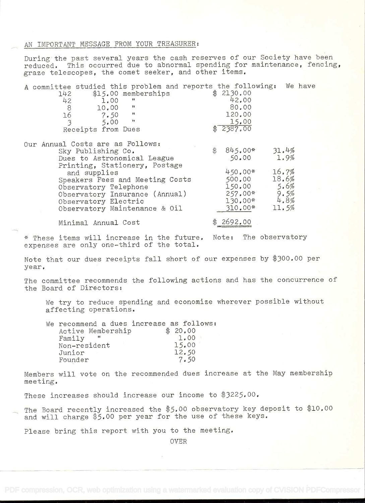## AN IMPORTANT MESSAGE FROM YOUR TREASURER:

During the past several years the cash reserves of our Society have been reduced, This occurred due to abnormal spending for maintenance, fencing, graze telescopes, the comet seeker, and other items,

| A committee studied this problem and reports the following:<br>\$15.00 memberships<br>142<br>42<br>1,00<br>$\blacksquare$                   | We have<br>\$2130.00<br>42.00<br>80,00                                 |
|---------------------------------------------------------------------------------------------------------------------------------------------|------------------------------------------------------------------------|
| $\mathcal{B}$<br>$10.00$ "<br>16<br>$7.50$ "                                                                                                | 120.00                                                                 |
| $5.00 - 4$                                                                                                                                  | 15.00                                                                  |
| Receipts from Dues                                                                                                                          | \$ 2387.00                                                             |
| Our Annual Costs are as Follows:                                                                                                            |                                                                        |
| Sky Publishing Co.                                                                                                                          | $\frac{4}{5}$<br>31.4%<br>845.00*                                      |
| Dues to Astronomical League                                                                                                                 | 1.9%<br>50.00                                                          |
| Printing, Stationery, Postage<br>and supplies<br>Speakers Fees and Meeting Costs<br>Observatory Telephone<br>Observatory Insurance (Annual) | 16.7%<br>450.00*<br>18.6%<br>500,00<br>$150.00$ 5.6%<br>$257.00*$ 9.5% |
| Observatory Electric                                                                                                                        | 4.8%<br>130.00*                                                        |
| Observatory Maintenance & Oil                                                                                                               | 11.5%<br>310.00*                                                       |
| Minimal Annual Cost                                                                                                                         | \$2692.00                                                              |

\* These items will increase in the future. Note: expenses are only one-third of the total. The observatory

Note that our dues receipts fall short of our expenses by \$300.00 per year.

The committee recommends the following actions and has the concurrence of the Board of Directors:

We try to reduce spending and economize wherever possible without affecting operations.

|                   | We recommend a dues increase as follows: |
|-------------------|------------------------------------------|
| Active Membership | \$20.00                                  |
| Family            | 1.00                                     |
| Non-resident      | 15.00                                    |
| Junior            | 12,50                                    |
| Founder           | 7.50                                     |

Members will vote on the recommended dues increase at the May membership meeting.

These increases should increase our income to \$3225.00.

The Board recently increased the \$5.00 observatory key deposit to \$10.00 and will charge \$5.00 per year for the use of these keys.

Please bring this report with you to the meeting.